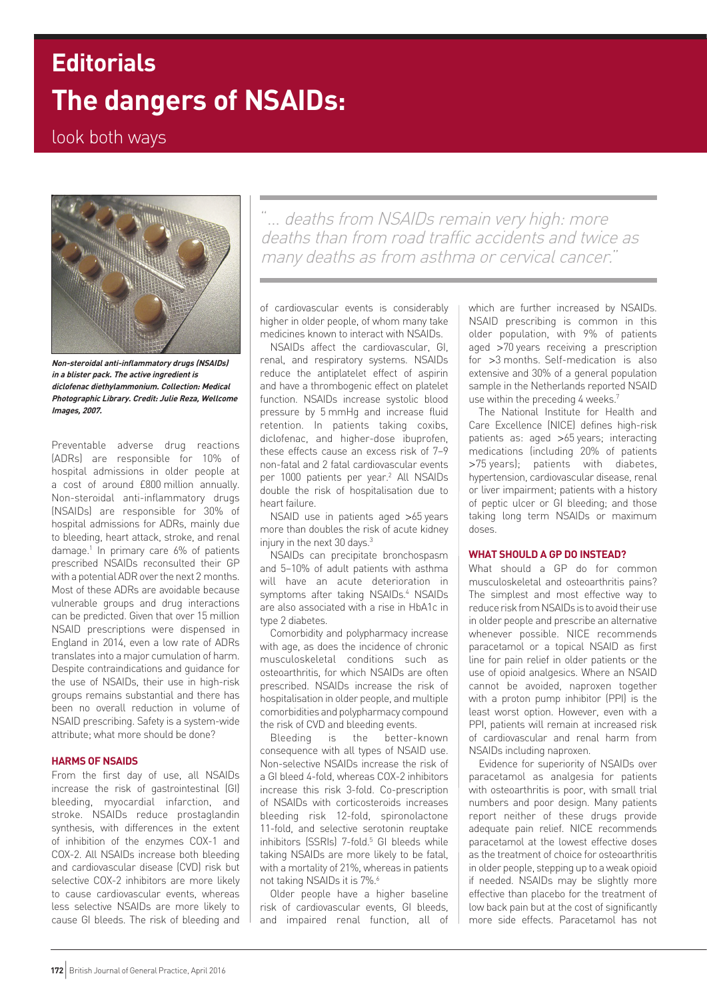# **The dangers of NSAIDs: Editorials**

# look both ways



**Non-steroidal anti-inflammatory drugs (NSAIDs) in a blister pack. The active ingredient is diclofenac diethylammonium. Collection: Medical Photographic Library. Credit: Julie Reza, Wellcome Images, 2007.**

Preventable adverse drug reactions (ADRs) are responsible for 10% of hospital admissions in older people at a cost of around £800 million annually. Non-steroidal anti-inflammatory drugs (NSAIDs) are responsible for 30% of hospital admissions for ADRs, mainly due to bleeding, heart attack, stroke, and renal damage.1 In primary care 6% of patients prescribed NSAIDs reconsulted their GP with a potential ADR over the next 2 months. Most of these ADRs are avoidable because vulnerable groups and drug interactions can be predicted. Given that over 15 million NSAID prescriptions were dispensed in England in 2014, even a low rate of ADRs translates into a major cumulation of harm. Despite contraindications and guidance for the use of NSAIDs, their use in high-risk groups remains substantial and there has been no overall reduction in volume of NSAID prescribing. Safety is a system-wide attribute; what more should be done?

# **HARMS OF NSAIDS**

From the first day of use, all NSAIDs increase the risk of gastrointestinal (GI) bleeding, myocardial infarction, and stroke. NSAIDs reduce prostaglandin synthesis, with differences in the extent of inhibition of the enzymes COX-1 and COX-2. All NSAIDs increase both bleeding and cardiovascular disease (CVD) risk but selective COX-2 inhibitors are more likely to cause cardiovascular events, whereas less selective NSAIDs are more likely to cause GI bleeds. The risk of bleeding and

"… deaths from NSAIDs remain very high: more deaths than from road traffic accidents and twice as many deaths as from asthma or cervical cancer."

of cardiovascular events is considerably higher in older people, of whom many take medicines known to interact with NSAIDs.

NSAIDs affect the cardiovascular, GI, renal, and respiratory systems. NSAIDs reduce the antiplatelet effect of aspirin and have a thrombogenic effect on platelet function. NSAIDs increase systolic blood pressure by 5 mmHg and increase fluid retention. In patients taking coxibs, diclofenac, and higher-dose ibuprofen, these effects cause an excess risk of 7–9 non-fatal and 2 fatal cardiovascular events per 1000 patients per year.<sup>2</sup> All NSAIDs double the risk of hospitalisation due to heart failure.

NSAID use in patients aged >65 years more than doubles the risk of acute kidney injury in the next 30 days.<sup>3</sup>

NSAIDs can precipitate bronchospasm and 5–10% of adult patients with asthma will have an acute deterioration in symptoms after taking NSAIDs.<sup>4</sup> NSAIDs are also associated with a rise in HbA1c in type 2 diabetes.

Comorbidity and polypharmacy increase with age, as does the incidence of chronic musculoskeletal conditions such as osteoarthritis, for which NSAIDs are often prescribed. NSAIDs increase the risk of hospitalisation in older people, and multiple comorbidities and polypharmacy compound the risk of CVD and bleeding events.

Bleeding is the better-known consequence with all types of NSAID use. Non-selective NSAIDs increase the risk of a GI bleed 4-fold, whereas COX-2 inhibitors increase this risk 3-fold. Co-prescription of NSAIDs with corticosteroids increases bleeding risk 12-fold, spironolactone 11-fold, and selective serotonin reuptake inhibitors (SSRIs) 7-fold.<sup>5</sup> GI bleeds while taking NSAIDs are more likely to be fatal, with a mortality of 21%, whereas in patients not taking NSAIDs it is 7%.<sup>6</sup>

Older people have a higher baseline risk of cardiovascular events, GI bleeds, and impaired renal function, all of which are further increased by NSAIDs. NSAID prescribing is common in this older population, with 9% of patients aged >70 years receiving a prescription for >3 months. Self-medication is also extensive and 30% of a general population sample in the Netherlands reported NSAID use within the preceding 4 weeks.<sup>7</sup>

The National Institute for Health and Care Excellence (NICE) defines high-risk patients as: aged >65 years; interacting medications (including 20% of patients >75 years); patients with diabetes, hypertension, cardiovascular disease, renal or liver impairment; patients with a history of peptic ulcer or GI bleeding; and those taking long term NSAIDs or maximum doses.

# **WHAT SHOULD A GP DO INSTEAD?**

What should a GP do for common musculoskeletal and osteoarthritis pains? The simplest and most effective way to reduce risk from NSAIDs is to avoid their use in older people and prescribe an alternative whenever possible. NICE recommends paracetamol or a topical NSAID as first line for pain relief in older patients or the use of opioid analgesics. Where an NSAID cannot be avoided, naproxen together with a proton pump inhibitor (PPI) is the least worst option. However, even with a PPI, patients will remain at increased risk of cardiovascular and renal harm from NSAIDs including naproxen.

Evidence for superiority of NSAIDs over paracetamol as analgesia for patients with osteoarthritis is poor, with small trial numbers and poor design. Many patients report neither of these drugs provide adequate pain relief. NICE recommends paracetamol at the lowest effective doses as the treatment of choice for osteoarthritis in older people, stepping up to a weak opioid if needed. NSAIDs may be slightly more effective than placebo for the treatment of low back pain but at the cost of significantly more side effects. Paracetamol has not